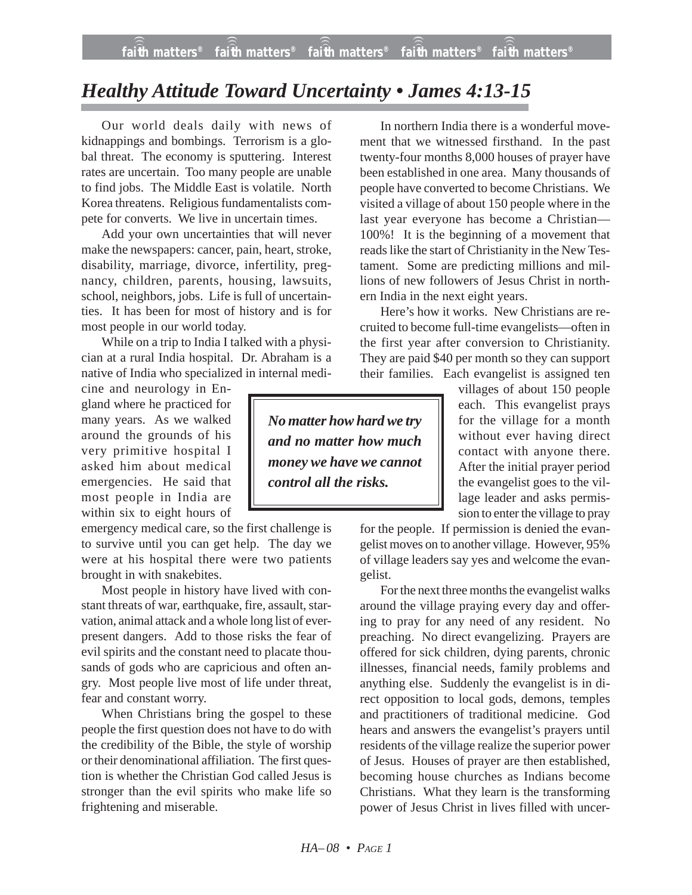## *Healthy Attitude Toward Uncertainty • James 4:13-15*

Our world deals daily with news of kidnappings and bombings. Terrorism is a global threat. The economy is sputtering. Interest rates are uncertain. Too many people are unable to find jobs. The Middle East is volatile. North Korea threatens. Religious fundamentalists compete for converts. We live in uncertain times.

Add your own uncertainties that will never make the newspapers: cancer, pain, heart, stroke, disability, marriage, divorce, infertility, pregnancy, children, parents, housing, lawsuits, school, neighbors, jobs. Life is full of uncertainties. It has been for most of history and is for most people in our world today.

While on a trip to India I talked with a physician at a rural India hospital. Dr. Abraham is a native of India who specialized in internal medi-

cine and neurology in England where he practiced for many years. As we walked around the grounds of his very primitive hospital I asked him about medical emergencies. He said that most people in India are within six to eight hours of

emergency medical care, so the first challenge is to survive until you can get help. The day we were at his hospital there were two patients brought in with snakebites.

Most people in history have lived with constant threats of war, earthquake, fire, assault, starvation, animal attack and a whole long list of everpresent dangers. Add to those risks the fear of evil spirits and the constant need to placate thousands of gods who are capricious and often angry. Most people live most of life under threat, fear and constant worry.

When Christians bring the gospel to these people the first question does not have to do with the credibility of the Bible, the style of worship or their denominational affiliation. The first question is whether the Christian God called Jesus is stronger than the evil spirits who make life so frightening and miserable.

In northern India there is a wonderful movement that we witnessed firsthand. In the past twenty-four months 8,000 houses of prayer have been established in one area. Many thousands of people have converted to become Christians. We visited a village of about 150 people where in the last year everyone has become a Christian— 100%! It is the beginning of a movement that reads like the start of Christianity in the New Testament. Some are predicting millions and millions of new followers of Jesus Christ in northern India in the next eight years.

Here's how it works. New Christians are recruited to become full-time evangelists—often in the first year after conversion to Christianity. They are paid \$40 per month so they can support their families. Each evangelist is assigned ten

*No matter how hard we try and no matter how much money we have we cannot control all the risks.*

villages of about 150 people each. This evangelist prays for the village for a month without ever having direct contact with anyone there. After the initial prayer period the evangelist goes to the village leader and asks permission to enter the village to pray

for the people. If permission is denied the evangelist moves on to another village. However, 95% of village leaders say yes and welcome the evangelist.

For the next three months the evangelist walks around the village praying every day and offering to pray for any need of any resident. No preaching. No direct evangelizing. Prayers are offered for sick children, dying parents, chronic illnesses, financial needs, family problems and anything else. Suddenly the evangelist is in direct opposition to local gods, demons, temples and practitioners of traditional medicine. God hears and answers the evangelist's prayers until residents of the village realize the superior power of Jesus. Houses of prayer are then established, becoming house churches as Indians become Christians. What they learn is the transforming power of Jesus Christ in lives filled with uncer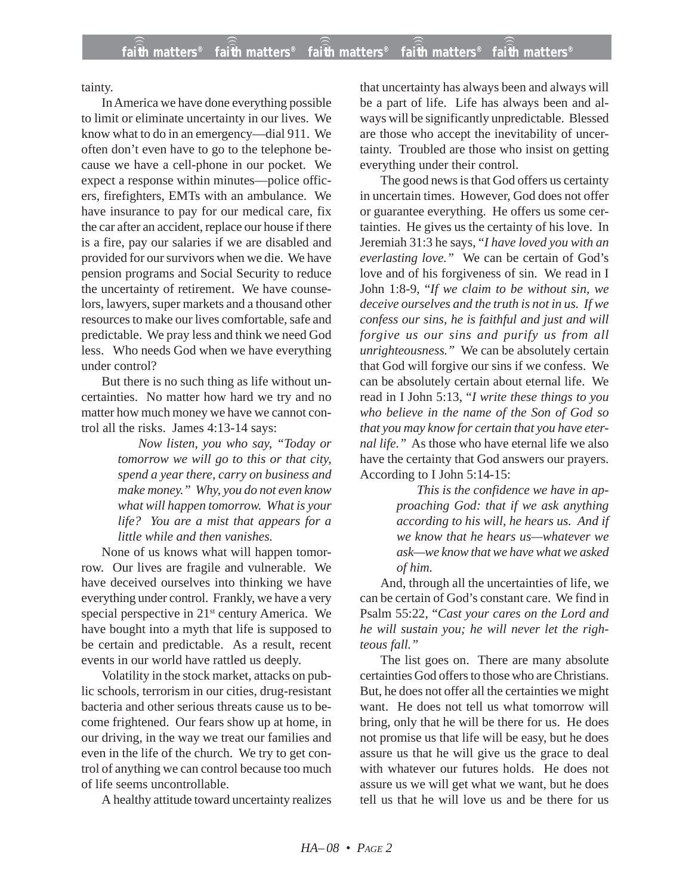tainty.

In America we have done everything possible to limit or eliminate uncertainty in our lives. We know what to do in an emergency—dial 911. We often don't even have to go to the telephone because we have a cell-phone in our pocket. We expect a response within minutes—police officers, firefighters, EMTs with an ambulance. We have insurance to pay for our medical care, fix the car after an accident, replace our house if there is a fire, pay our salaries if we are disabled and provided for our survivors when we die. We have pension programs and Social Security to reduce the uncertainty of retirement. We have counselors, lawyers, super markets and a thousand other resources to make our lives comfortable, safe and predictable. We pray less and think we need God less. Who needs God when we have everything under control?

But there is no such thing as life without uncertainties. No matter how hard we try and no matter how much money we have we cannot control all the risks. James 4:13-14 says:

> *Now listen, you who say, "Today or tomorrow we will go to this or that city, spend a year there, carry on business and make money." Why, you do not even know what will happen tomorrow. What is your life? You are a mist that appears for a little while and then vanishes.*

None of us knows what will happen tomorrow. Our lives are fragile and vulnerable. We have deceived ourselves into thinking we have everything under control. Frankly, we have a very special perspective in  $21<sup>st</sup>$  century America. We have bought into a myth that life is supposed to be certain and predictable. As a result, recent events in our world have rattled us deeply.

Volatility in the stock market, attacks on public schools, terrorism in our cities, drug-resistant bacteria and other serious threats cause us to become frightened. Our fears show up at home, in our driving, in the way we treat our families and even in the life of the church. We try to get control of anything we can control because too much of life seems uncontrollable.

A healthy attitude toward uncertainty realizes

that uncertainty has always been and always will be a part of life. Life has always been and always will be significantly unpredictable. Blessed are those who accept the inevitability of uncertainty. Troubled are those who insist on getting everything under their control.

The good news is that God offers us certainty in uncertain times. However, God does not offer or guarantee everything. He offers us some certainties. He gives us the certainty of his love. In Jeremiah 31:3 he says, "*I have loved you with an everlasting love."* We can be certain of God's love and of his forgiveness of sin. We read in I John 1:8-9, "*If we claim to be without sin, we deceive ourselves and the truth is not in us. If we confess our sins, he is faithful and just and will forgive us our sins and purify us from all unrighteousness."* We can be absolutely certain that God will forgive our sins if we confess. We can be absolutely certain about eternal life. We read in I John 5:13, "*I write these things to you who believe in the name of the Son of God so that you may know for certain that you have eternal life."* As those who have eternal life we also have the certainty that God answers our prayers. According to I John 5:14-15:

> *This is the confidence we have in approaching God: that if we ask anything according to his will, he hears us. And if we know that he hears us—whatever we ask—we know that we have what we asked of him.*

And, through all the uncertainties of life, we can be certain of God's constant care. We find in Psalm 55:22, "*Cast your cares on the Lord and he will sustain you; he will never let the righteous fall."*

The list goes on. There are many absolute certainties God offers to those who are Christians. But, he does not offer all the certainties we might want. He does not tell us what tomorrow will bring, only that he will be there for us. He does not promise us that life will be easy, but he does assure us that he will give us the grace to deal with whatever our futures holds. He does not assure us we will get what we want, but he does tell us that he will love us and be there for us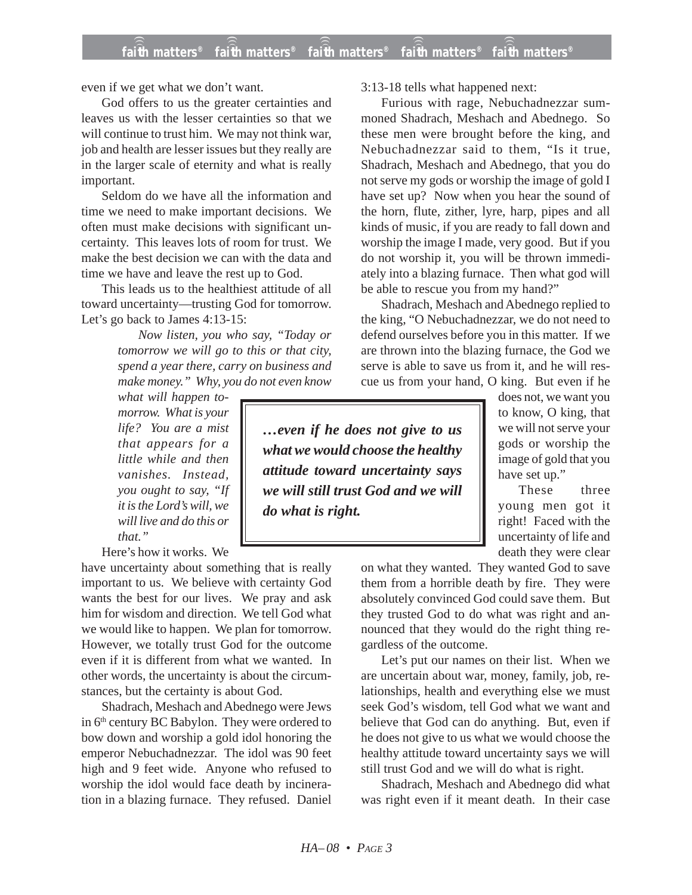even if we get what we don't want.

God offers to us the greater certainties and leaves us with the lesser certainties so that we will continue to trust him. We may not think war, job and health are lesser issues but they really are in the larger scale of eternity and what is really important.

Seldom do we have all the information and time we need to make important decisions. We often must make decisions with significant uncertainty. This leaves lots of room for trust. We make the best decision we can with the data and time we have and leave the rest up to God.

This leads us to the healthiest attitude of all toward uncertainty—trusting God for tomorrow. Let's go back to James 4:13-15:

> *Now listen, you who say, "Today or tomorrow we will go to this or that city, spend a year there, carry on business and make money." Why, you do not even know*

*what will happen tomorrow. What is your life? You are a mist that appears for a little while and then vanishes. Instead, you ought to say, "If it is the Lord's will, we will live and do this or that."*

Here's how it works. We

have uncertainty about something that is really important to us. We believe with certainty God wants the best for our lives. We pray and ask him for wisdom and direction. We tell God what we would like to happen. We plan for tomorrow. However, we totally trust God for the outcome even if it is different from what we wanted. In other words, the uncertainty is about the circumstances, but the certainty is about God.

Shadrach, Meshach and Abednego were Jews in 6<sup>th</sup> century BC Babylon. They were ordered to bow down and worship a gold idol honoring the emperor Nebuchadnezzar. The idol was 90 feet high and 9 feet wide. Anyone who refused to worship the idol would face death by incineration in a blazing furnace. They refused. Daniel

3:13-18 tells what happened next:

Furious with rage, Nebuchadnezzar summoned Shadrach, Meshach and Abednego. So these men were brought before the king, and Nebuchadnezzar said to them, "Is it true, Shadrach, Meshach and Abednego, that you do not serve my gods or worship the image of gold I have set up? Now when you hear the sound of the horn, flute, zither, lyre, harp, pipes and all kinds of music, if you are ready to fall down and worship the image I made, very good. But if you do not worship it, you will be thrown immediately into a blazing furnace. Then what god will be able to rescue you from my hand?"

Shadrach, Meshach and Abednego replied to the king, "O Nebuchadnezzar, we do not need to defend ourselves before you in this matter. If we are thrown into the blazing furnace, the God we serve is able to save us from it, and he will rescue us from your hand, O king. But even if he

*…even if he does not give to us what we would choose the healthy attitude toward uncertainty says we will still trust God and we will do what is right.*

does not, we want you to know, O king, that we will not serve your gods or worship the image of gold that you have set up."

These three young men got it right! Faced with the uncertainty of life and death they were clear

on what they wanted. They wanted God to save them from a horrible death by fire. They were absolutely convinced God could save them. But they trusted God to do what was right and announced that they would do the right thing regardless of the outcome.

Let's put our names on their list. When we are uncertain about war, money, family, job, relationships, health and everything else we must seek God's wisdom, tell God what we want and believe that God can do anything. But, even if he does not give to us what we would choose the healthy attitude toward uncertainty says we will still trust God and we will do what is right.

Shadrach, Meshach and Abednego did what was right even if it meant death. In their case